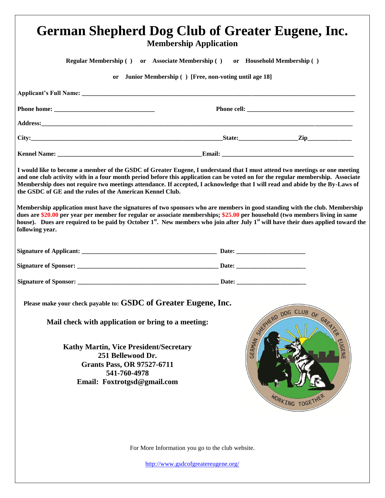| <b>German Shepherd Dog Club of Greater Eugene, Inc.</b><br><b>Membership Application</b>                                                                                                                                                                                                                                                                                                                                                                   |                                                                |  |
|------------------------------------------------------------------------------------------------------------------------------------------------------------------------------------------------------------------------------------------------------------------------------------------------------------------------------------------------------------------------------------------------------------------------------------------------------------|----------------------------------------------------------------|--|
| <b>Regular Membership () or Associate Membership ()</b><br>or Household Membership ()                                                                                                                                                                                                                                                                                                                                                                      |                                                                |  |
| Junior Membership () [Free, non-voting until age 18]<br><sub>or</sub>                                                                                                                                                                                                                                                                                                                                                                                      |                                                                |  |
|                                                                                                                                                                                                                                                                                                                                                                                                                                                            |                                                                |  |
|                                                                                                                                                                                                                                                                                                                                                                                                                                                            |                                                                |  |
|                                                                                                                                                                                                                                                                                                                                                                                                                                                            |                                                                |  |
| City: $\qquad \qquad \text{City:}$ $\qquad \qquad \text{City:}$ $\qquad \qquad \text{City:}$ $\qquad \qquad \text{City:}$                                                                                                                                                                                                                                                                                                                                  |                                                                |  |
|                                                                                                                                                                                                                                                                                                                                                                                                                                                            |                                                                |  |
| I would like to become a member of the GSDC of Greater Eugene, I understand that I must attend two meetings or one meeting<br>and one club activity with in a four month period before this application can be voted on for the regular membership. Associate<br>Membership does not require two meetings attendance. If accepted, I acknowledge that I will read and abide by the By-Laws of<br>the GSDC of GE and the rules of the American Kennel Club. |                                                                |  |
| Membership application must have the signatures of two sponsors who are members in good standing with the club. Membership<br>dues are \$20.00 per year per member for regular or associate memberships; \$25.00 per household (two members living in same<br>house). Dues are required to be paid by October 1 <sup>st</sup> . New members who join after July 1 <sup>st</sup> will have their dues applied toward the<br>following year.                 |                                                                |  |
|                                                                                                                                                                                                                                                                                                                                                                                                                                                            |                                                                |  |
|                                                                                                                                                                                                                                                                                                                                                                                                                                                            |                                                                |  |
|                                                                                                                                                                                                                                                                                                                                                                                                                                                            |                                                                |  |
| Please make your check payable to: GSDC of Greater Eugene, Inc.<br>Mail check with application or bring to a meeting:<br><b>Kathy Martin, Vice President/Secretary</b>                                                                                                                                                                                                                                                                                     | DOG CLUB OF GREATER<br>STERD<br><b>GERMAN</b><br><b>EUGENE</b> |  |
| 251 Bellewood Dr.<br><b>Grants Pass, OR 97527-6711</b><br>541-760-4978<br>Email: Foxtrotgsd@gmail.com                                                                                                                                                                                                                                                                                                                                                      | WORKING TOGETHE                                                |  |
| For More Information you go to the club website.<br>http://www.gsdcofgreatereugene.org/                                                                                                                                                                                                                                                                                                                                                                    |                                                                |  |